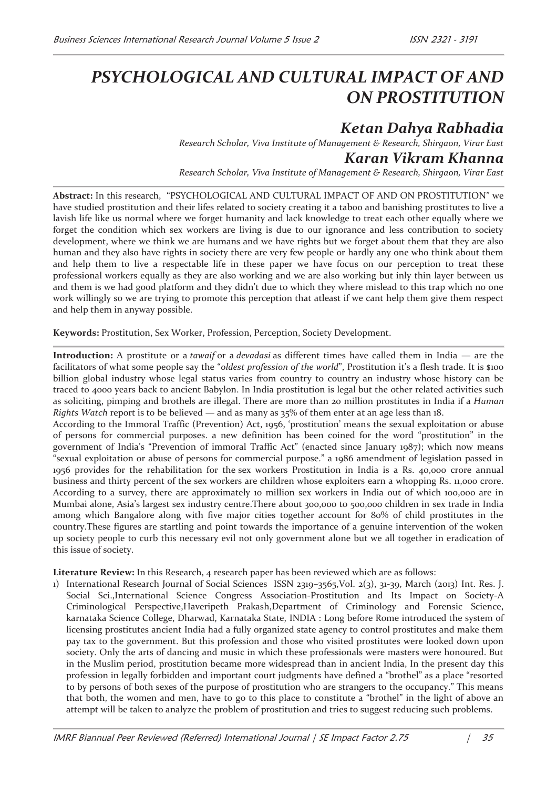# *PSYCHOLOGICAL AND CULTURAL IMPACT OF AND ON PROSTITUTION*

# *Ketan Dahya Rabhadia*

*Research Scholar, Viva Institute of Management & Research, Shirgaon, Virar East Karan Vikram Khanna* 

*Research Scholar, Viva Institute of Management & Research, Shirgaon, Virar East* 

**Abstract:** In this research, "PSYCHOLOGICAL AND CULTURAL IMPACT OF AND ON PROSTITUTION" we have studied prostitution and their lifes related to society creating it a taboo and banishing prostitutes to live a lavish life like us normal where we forget humanity and lack knowledge to treat each other equally where we forget the condition which sex workers are living is due to our ignorance and less contribution to society development, where we think we are humans and we have rights but we forget about them that they are also human and they also have rights in society there are very few people or hardly any one who think about them and help them to live a respectable life in these paper we have focus on our perception to treat these professional workers equally as they are also working and we are also working but inly thin layer between us and them is we had good platform and they didn't due to which they where mislead to this trap which no one work willingly so we are trying to promote this perception that atleast if we cant help them give them respect and help them in anyway possible.

**Keywords:** Prostitution, Sex Worker, Profession, Perception, Society Development.

**Introduction:** A prostitute or a *tawaif* or a *devadasi* as different times have called them in India — are the facilitators of what some people say the "*oldest profession of the world*", Prostitution it's a flesh trade. It is \$100 billion global industry whose legal status varies from country to country an industry whose history can be traced to 4000 years back to ancient Babylon. In India prostitution is legal but the other related activities such as soliciting, pimping and brothels are illegal. There are more than 20 million prostitutes in India if a *Human Rights Watch* report is to be believed — and as many as 35% of them enter at an age less than 18.

According to the Immoral Traffic (Prevention) Act, 1956, 'prostitution' means the sexual exploitation or abuse of persons for commercial purposes. a new definition has been coined for the word "prostitution" in the government of India's "Prevention of immoral Traffic Act" (enacted since January 1987); which now means "sexual exploitation or abuse of persons for commercial purpose." a 1986 amendment of legislation passed in 1956 provides for the rehabilitation for the sex workers Prostitution in India is a Rs. 40,000 crore annual business and thirty percent of the sex workers are children whose exploiters earn a whopping Rs. 11,000 crore. According to a survey, there are approximately 10 million sex workers in India out of which 100,000 are in Mumbai alone, Asia's largest sex industry centre.There about 300,000 to 500,000 children in sex trade in India among which Bangalore along with five major cities together account for 80% of child prostitutes in the country.These figures are startling and point towards the importance of a genuine intervention of the woken up society people to curb this necessary evil not only government alone but we all together in eradication of this issue of society.

**Literature Review:** In this Research, 4 research paper has been reviewed which are as follows:

1) International Research Journal of Social Sciences ISSN 2319–3565,Vol. 2(3), 31-39, March (2013) Int. Res. J. Social Sci.,International Science Congress Association-Prostitution and Its Impact on Society-A Criminological Perspective,Haveripeth Prakash,Department of Criminology and Forensic Science, karnataka Science College, Dharwad, Karnataka State, INDIA : Long before Rome introduced the system of licensing prostitutes ancient India had a fully organized state agency to control prostitutes and make them pay tax to the government. But this profession and those who visited prostitutes were looked down upon society. Only the arts of dancing and music in which these professionals were masters were honoured. But in the Muslim period, prostitution became more widespread than in ancient India, In the present day this profession in legally forbidden and important court judgments have defined a "brothel" as a place "resorted to by persons of both sexes of the purpose of prostitution who are strangers to the occupancy." This means that both, the women and men, have to go to this place to constitute a "brothel" in the light of above an attempt will be taken to analyze the problem of prostitution and tries to suggest reducing such problems.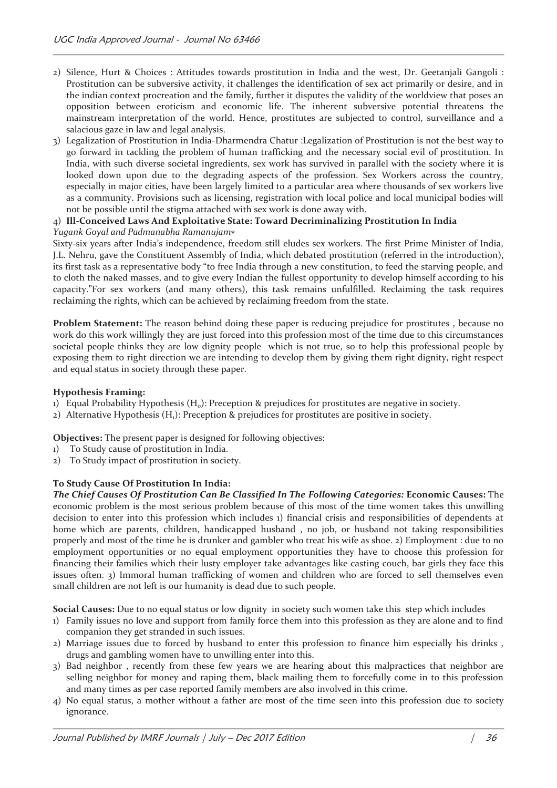- 2) Silence, Hurt & Choices : Attitudes towards prostitution in India and the west, Dr. Geetanjali Gangoli : Prostitution can be subversive activity, it challenges the identification of sex act primarily or desire, and in the indian context procreation and the family, further it disputes the validity of the worldview that poses an opposition between eroticism and economic life. The inherent subversive potential threatens the mainstream interpretation of the world. Hence, prostitutes are subjected to control, surveillance and a salacious gaze in law and legal analysis.
- 3) Legalization of Prostitution in India-Dharmendra Chatur :Legalization of Prostitution is not the best way to go forward in tackling the problem of human trafficking and the necessary social evil of prostitution. In India, with such diverse societal ingredients, sex work has survived in parallel with the society where it is looked down upon due to the degrading aspects of the profession. Sex Workers across the country, especially in major cities, have been largely limited to a particular area where thousands of sex workers live as a community. Provisions such as licensing, registration with local police and local municipal bodies will not be possible until the stigma attached with sex work is done away with.

#### 4) **Ill-Conceived Laws And Exploitative State: Toward Decriminalizing Prostitution In India** *Yugank Goyal and Padmanabha Ramanujam*כ

Sixty-six years after India's independence, freedom still eludes sex workers. The first Prime Minister of India, J.L. Nehru, gave the Constituent Assembly of India, which debated prostitution (referred in the introduction), its first task as a representative body "to free India through a new constitution, to feed the starving people, and to cloth the naked masses, and to give every Indian the fullest opportunity to develop himself according to his capacity."For sex workers (and many others), this task remains unfulfilled. Reclaiming the task requires reclaiming the rights, which can be achieved by reclaiming freedom from the state.

**Problem Statement:** The reason behind doing these paper is reducing prejudice for prostitutes , because no work do this work willingly they are just forced into this profession most of the time due to this circumstances societal people thinks they are low dignity people which is not true, so to help this professional people by exposing them to right direction we are intending to develop them by giving them right dignity, right respect and equal status in society through these paper.

### **Hypothesis Framing:**

- 1) Equal Probability Hypothesis (H<sub>0</sub>): Preception & prejudices for prostitutes are negative in society.
- 2) Alternative Hypothesis  $(H_1)$ : Preception & prejudices for prostitutes are positive in society.

**Objectives:** The present paper is designed for following objectives:

- 1) To Study cause of prostitution in India.
- 2) To Study impact of prostitution in society.

# **To Study Cause Of Prostitution In India:**

*The Chief Causes Of Prostitution Can Be Classified In The Following Categories:* **Economic Causes:** The economic problem is the most serious problem because of this most of the time women takes this unwilling decision to enter into this profession which includes 1) financial crisis and responsibilities of dependents at home which are parents, children, handicapped husband , no job, or husband not taking responsibilities properly and most of the time he is drunker and gambler who treat his wife as shoe. 2) Employment : due to no employment opportunities or no equal employment opportunities they have to choose this profession for financing their families which their lusty employer take advantages like casting couch, bar girls they face this issues often. 3) Immoral human trafficking of women and children who are forced to sell themselves even small children are not left is our humanity is dead due to such people.

**Social Causes:** Due to no equal status or low dignity in society such women take this step which includes

- 1) Family issues no love and support from family force them into this profession as they are alone and to find companion they get stranded in such issues.
- 2) Marriage issues due to forced by husband to enter this profession to finance him especially his drinks , drugs and gambling women have to unwilling enter into this.
- 3) Bad neighbor , recently from these few years we are hearing about this malpractices that neighbor are selling neighbor for money and raping them, black mailing them to forcefully come in to this profession and many times as per case reported family members are also involved in this crime.
- 4) No equal status, a mother without a father are most of the time seen into this profession due to society ignorance.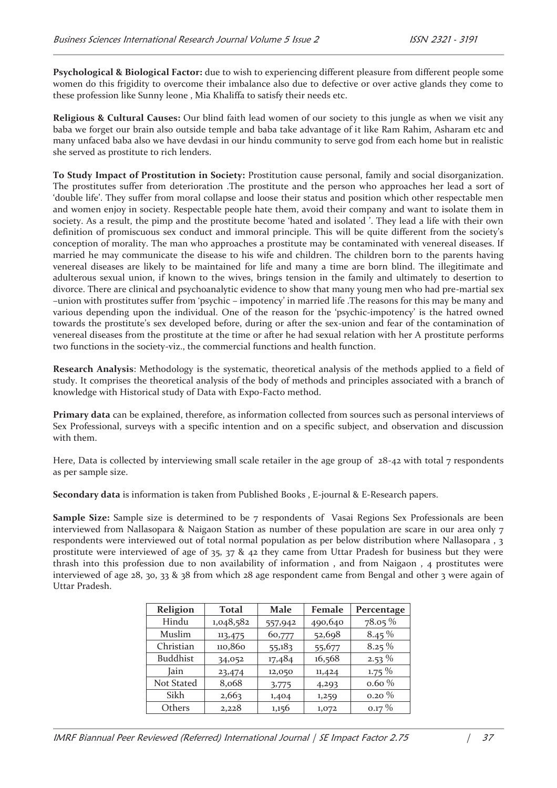**Psychological & Biological Factor:** due to wish to experiencing different pleasure from different people some women do this frigidity to overcome their imbalance also due to defective or over active glands they come to these profession like Sunny leone , Mia Khaliffa to satisfy their needs etc.

**Religious & Cultural Causes:** Our blind faith lead women of our society to this jungle as when we visit any baba we forget our brain also outside temple and baba take advantage of it like Ram Rahim, Asharam etc and many unfaced baba also we have devdasi in our hindu community to serve god from each home but in realistic she served as prostitute to rich lenders.

**To Study Impact of Prostitution in Society:** Prostitution cause personal, family and social disorganization. The prostitutes suffer from deterioration .The prostitute and the person who approaches her lead a sort of 'double life'. They suffer from moral collapse and loose their status and position which other respectable men and women enjoy in society. Respectable people hate them, avoid their company and want to isolate them in society. As a result, the pimp and the prostitute become 'hated and isolated '. They lead a life with their own definition of promiscuous sex conduct and immoral principle. This will be quite different from the society's conception of morality. The man who approaches a prostitute may be contaminated with venereal diseases. If married he may communicate the disease to his wife and children. The children born to the parents having venereal diseases are likely to be maintained for life and many a time are born blind. The illegitimate and adulterous sexual union, if known to the wives, brings tension in the family and ultimately to desertion to divorce. There are clinical and psychoanalytic evidence to show that many young men who had pre-martial sex –union with prostitutes suffer from 'psychic – impotency' in married life .The reasons for this may be many and various depending upon the individual. One of the reason for the 'psychic-impotency' is the hatred owned towards the prostitute's sex developed before, during or after the sex-union and fear of the contamination of venereal diseases from the prostitute at the time or after he had sexual relation with her A prostitute performs two functions in the society-viz., the commercial functions and health function.

**Research Analysis**: Methodology is the systematic, theoretical analysis of the methods applied to a field of study. It comprises the theoretical analysis of the body of methods and principles associated with a branch of knowledge with Historical study of Data with Expo-Facto method.

**Primary data** can be explained, therefore, as information collected from sources such as personal interviews of Sex Professional, surveys with a specific intention and on a specific subject, and observation and discussion with them.

Here, Data is collected by interviewing small scale retailer in the age group of  $28$ -42 with total 7 respondents as per sample size.

**Secondary data** is information is taken from Published Books , E-journal & E-Research papers.

**Sample Size:** Sample size is determined to be 7 respondents of Vasai Regions Sex Professionals are been interviewed from Nallasopara & Naigaon Station as number of these population are scare in our area only 7 respondents were interviewed out of total normal population as per below distribution where Nallasopara , 3 prostitute were interviewed of age of 35, 37 & 42 they came from Uttar Pradesh for business but they were thrash into this profession due to non availability of information , and from Naigaon , 4 prostitutes were interviewed of age 28, 30, 33 & 38 from which 28 age respondent came from Bengal and other 3 were again of Uttar Pradesh.

| Religion        | <b>Total</b> | Male    | Female  | Percentage |
|-----------------|--------------|---------|---------|------------|
| Hindu           | 1,048,582    | 557,942 | 490,640 | $78.05\%$  |
| Muslim          | 113,475      | 60,777  | 52,698  | $8.45\%$   |
| Christian       | 110,860      | 55,183  | 55,677  | $8.25\%$   |
| <b>Buddhist</b> | 34,052       | 17,484  | 16,568  | $2.53\%$   |
| Jain            | 23,474       | 12,050  | 11,424  | $1.75\%$   |
| Not Stated      | 8,068        | 3,775   | 4,293   | $0.60\%$   |
| Sikh            | 2,663        | 1,404   | 1,259   | $0.20\%$   |
| Others          | 2,228        | 1,156   | 1,072   | $0.17\%$   |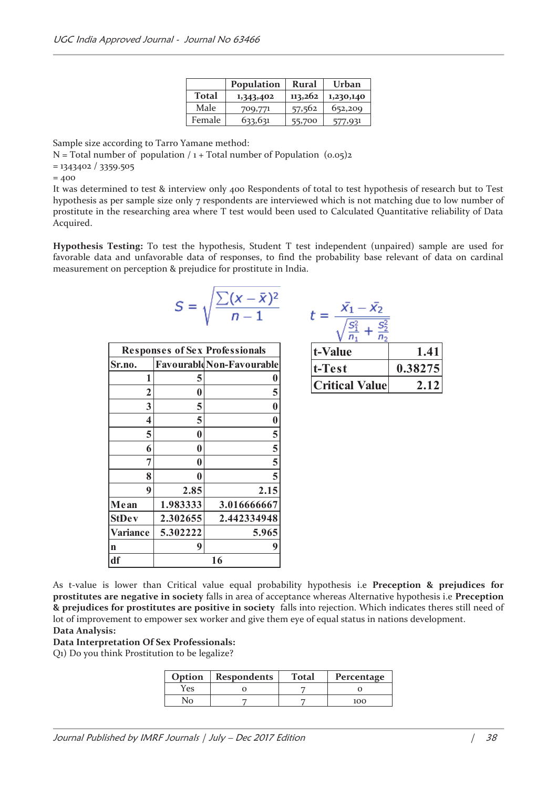|        | Population | Rural   | Urban     |
|--------|------------|---------|-----------|
| Total  | 1,343,402  | 113,262 | 1,230,140 |
| Male   | 709,771    | 57,562  | 652,209   |
| Female | 633,631    | 55,700  | 577,931   |

Sample size according to Tarro Yamane method:

N = Total number of population  $/1 +$  Total number of Population  $(0.05)$ 2

= 1343402 / 3359.505

 $= 400$ 

It was determined to test & interview only 400 Respondents of total to test hypothesis of research but to Test hypothesis as per sample size only 7 respondents are interviewed which is not matching due to low number of prostitute in the researching area where T test would been used to Calculated Quantitative reliability of Data Acquired.

**Hypothesis Testing:** To test the hypothesis, Student T test independent (unpaired) sample are used for favorable data and unfavorable data of responses, to find the probability base relevant of data on cardinal measurement on perception & prejudice for prostitute in India.

$$
S = \sqrt{\frac{\sum (x - \bar{x})^2}{n-1}}
$$

|                 |          | <b>Responses of Sex Professionals</b> |
|-----------------|----------|---------------------------------------|
| Sr.no.          |          | <b>Favourable Non-Favourable</b>      |
| 1               | 5        | $\boldsymbol{0}$                      |
| $\overline{2}$  | 0        | 5                                     |
| 3               | 5        | $\bf{0}$                              |
| 4               | 5        | $\bf{0}$                              |
| 5               | 0        |                                       |
| 6               | 0        | $\frac{5}{5}$                         |
| 7               | 0        |                                       |
| 8               | 0        | $\overline{5}$                        |
| 9               | 2.85     | 2.15                                  |
| Mean            | 1.983333 | 3.016666667                           |
| <b>StDev</b>    | 2.302655 | 2.442334948                           |
| <b>Variance</b> | 5.302222 | 5.965                                 |
| n               | 9        | 9                                     |
| df              |          | 16                                    |

$$
t = \frac{\bar{x_1} - \bar{x_2}}{\sqrt{\frac{S_1^2}{n_1} + \frac{S_2^2}{n_2}}}
$$

| t-Value               | $\blacksquare$ |
|-----------------------|----------------|
| t-Test                | 0.38275        |
| <b>Critical Value</b> |                |

As t-value is lower than Critical value equal probability hypothesis i.e **Preception & prejudices for prostitutes are negative in society** falls in area of acceptance whereas Alternative hypothesis i.e **Preception & prejudices for prostitutes are positive in society** falls into rejection. Which indicates theres still need of lot of improvement to empower sex worker and give them eye of equal status in nations development. **Data Analysis:** 

**Data Interpretation Of Sex Professionals:** 

Q1) Do you think Prostitution to be legalize?

| Option | <b>Respondents</b> | <b>Total</b> | Percentage |
|--------|--------------------|--------------|------------|
| Yes    |                    |              |            |
|        |                    |              | 100        |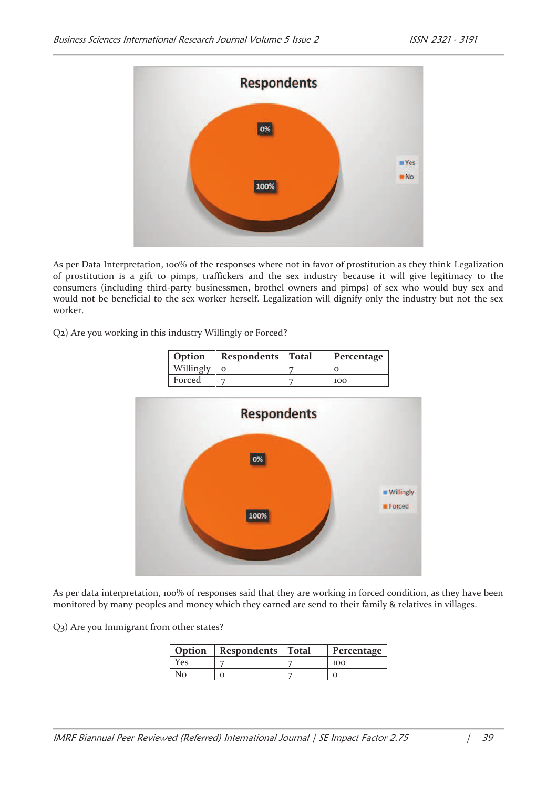

As per Data Interpretation, 100% of the responses where not in favor of prostitution as they think Legalization of prostitution is a gift to pimps, traffickers and the sex industry because it will give legitimacy to the consumers (including third-party businessmen, brothel owners and pimps) of sex who would buy sex and would not be beneficial to the sex worker herself. Legalization will dignify only the industry but not the sex worker.

Q2) Are you working in this industry Willingly or Forced?

| Option    | Respondents   Total | Percentage |
|-----------|---------------------|------------|
| Willingly |                     |            |
| Forced    |                     | 100        |



As per data interpretation, 100% of responses said that they are working in forced condition, as they have been monitored by many peoples and money which they earned are send to their family & relatives in villages.

Q3) Are you Immigrant from other states?

| Option | Respondents   Total | Percentage |
|--------|---------------------|------------|
| Yes    |                     | 100        |
|        | O                   |            |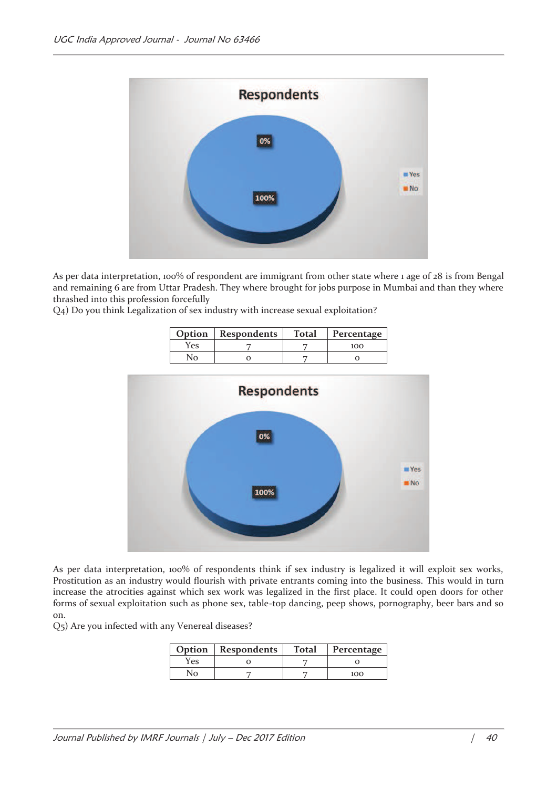

As per data interpretation, 100% of respondent are immigrant from other state where 1 age of 28 is from Bengal and remaining 6 are from Uttar Pradesh. They where brought for jobs purpose in Mumbai and than they where thrashed into this profession forcefully

Q4) Do you think Legalization of sex industry with increase sexual exploitation?

|     | Option   Respondents | <b>Total</b> | Percentage |
|-----|----------------------|--------------|------------|
| Yes |                      |              | 100        |
|     |                      |              |            |



As per data interpretation, 100% of respondents think if sex industry is legalized it will exploit sex works, Prostitution as an industry would flourish with private entrants coming into the business. This would in turn increase the atrocities against which sex work was legalized in the first place. It could open doors for other forms of sexual exploitation such as phone sex, table-top dancing, peep shows, pornography, beer bars and so on.

Q5) Are you infected with any Venereal diseases?

| Option | Respondents | <b>Total</b> | Percentage |
|--------|-------------|--------------|------------|
| Yes    |             |              |            |
| Nο     |             |              | 100        |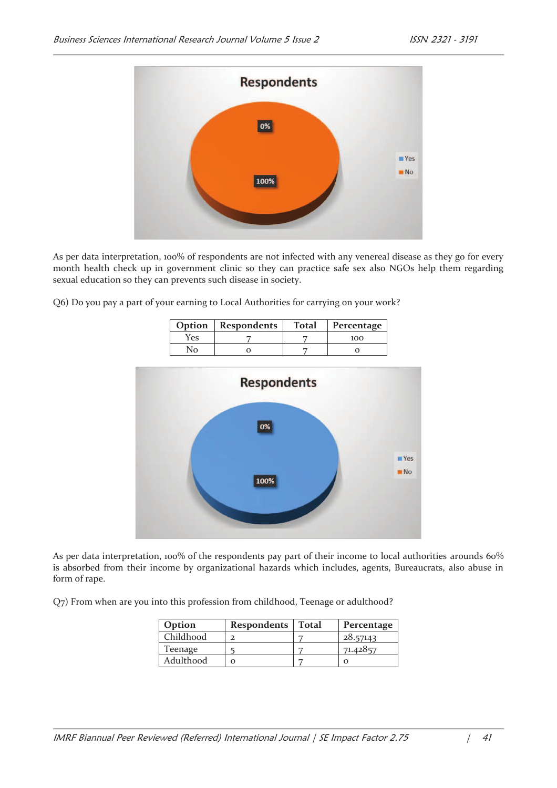

As per data interpretation, 100% of respondents are not infected with any venereal disease as they go for every month health check up in government clinic so they can practice safe sex also NGOs help them regarding sexual education so they can prevents such disease in society.

Q6) Do you pay a part of your earning to Local Authorities for carrying on your work?

| Option | <b>Respondents</b> | <b>Total</b> | Percentage |
|--------|--------------------|--------------|------------|
| Yes    |                    |              | 100        |
|        |                    |              |            |



As per data interpretation, 100% of the respondents pay part of their income to local authorities arounds 60% is absorbed from their income by organizational hazards which includes, agents, Bureaucrats, also abuse in form of rape.

Q7) From when are you into this profession from childhood, Teenage or adulthood?

| Option    | Respondents | Total | Percentage |
|-----------|-------------|-------|------------|
| Childhood |             |       | 28.57143   |
| Teenage   |             |       | 71.42857   |
| Adulthood |             |       |            |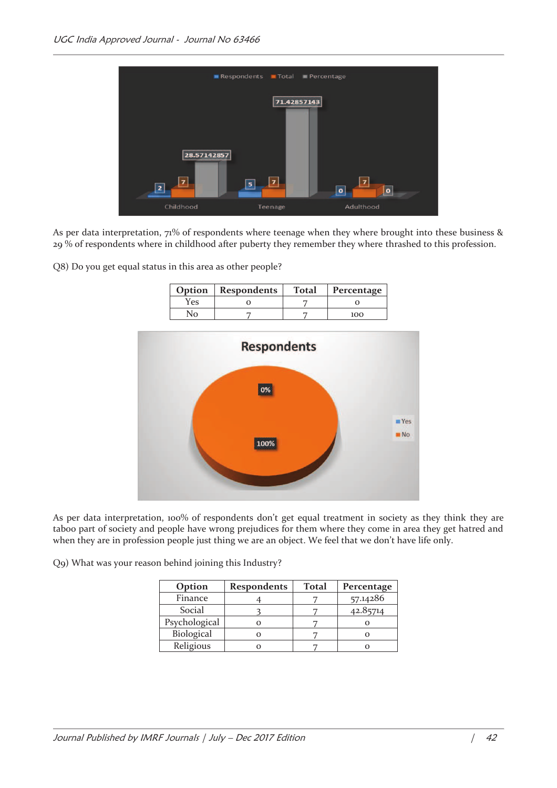

As per data interpretation, 71% of respondents where teenage when they where brought into these business & 29 % of respondents where in childhood after puberty they remember they where thrashed to this profession.

Q8) Do you get equal status in this area as other people?

| Option | Respondents | <b>Total</b> | Percentage |
|--------|-------------|--------------|------------|
| res    |             |              |            |
|        |             |              | 100        |



As per data interpretation, 100% of respondents don't get equal treatment in society as they think they are taboo part of society and people have wrong prejudices for them where they come in area they get hatred and when they are in profession people just thing we are an object. We feel that we don't have life only.

Q9) What was your reason behind joining this Industry?

| Option        | <b>Respondents</b> | <b>Total</b> | Percentage |
|---------------|--------------------|--------------|------------|
| Finance       |                    |              | 57.14286   |
| Social        |                    |              | 42.85714   |
| Psychological |                    |              |            |
| Biological    |                    |              |            |
| Religious     |                    |              |            |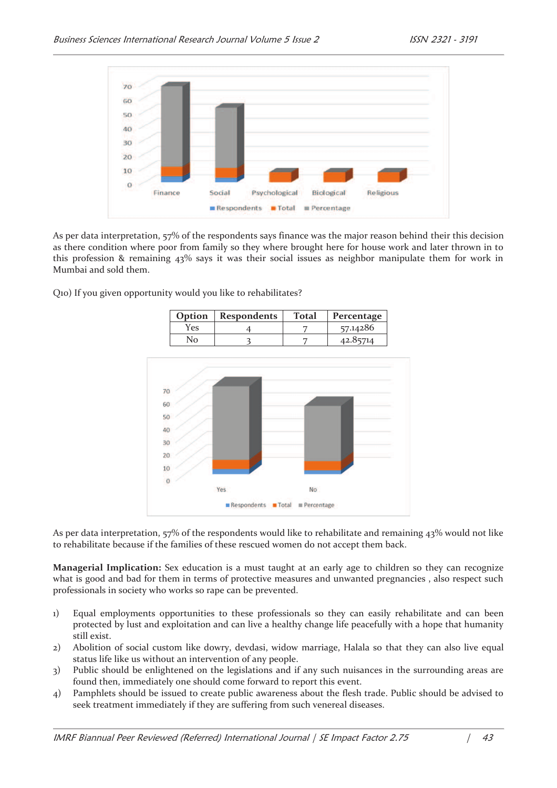

As per data interpretation, 57% of the respondents says finance was the major reason behind their this decision as there condition where poor from family so they where brought here for house work and later thrown in to this profession & remaining 43% says it was their social issues as neighbor manipulate them for work in Mumbai and sold them.

Q10) If you given opportunity would you like to rehabilitates?



As per data interpretation, 57% of the respondents would like to rehabilitate and remaining 43% would not like to rehabilitate because if the families of these rescued women do not accept them back.

**Managerial Implication:** Sex education is a must taught at an early age to children so they can recognize what is good and bad for them in terms of protective measures and unwanted pregnancies , also respect such professionals in society who works so rape can be prevented.

- 1) Equal employments opportunities to these professionals so they can easily rehabilitate and can been protected by lust and exploitation and can live a healthy change life peacefully with a hope that humanity still exist.
- 2) Abolition of social custom like dowry, devdasi, widow marriage, Halala so that they can also live equal status life like us without an intervention of any people.
- 3) Public should be enlightened on the legislations and if any such nuisances in the surrounding areas are found then, immediately one should come forward to report this event.
- 4) Pamphlets should be issued to create public awareness about the flesh trade. Public should be advised to seek treatment immediately if they are suffering from such venereal diseases.